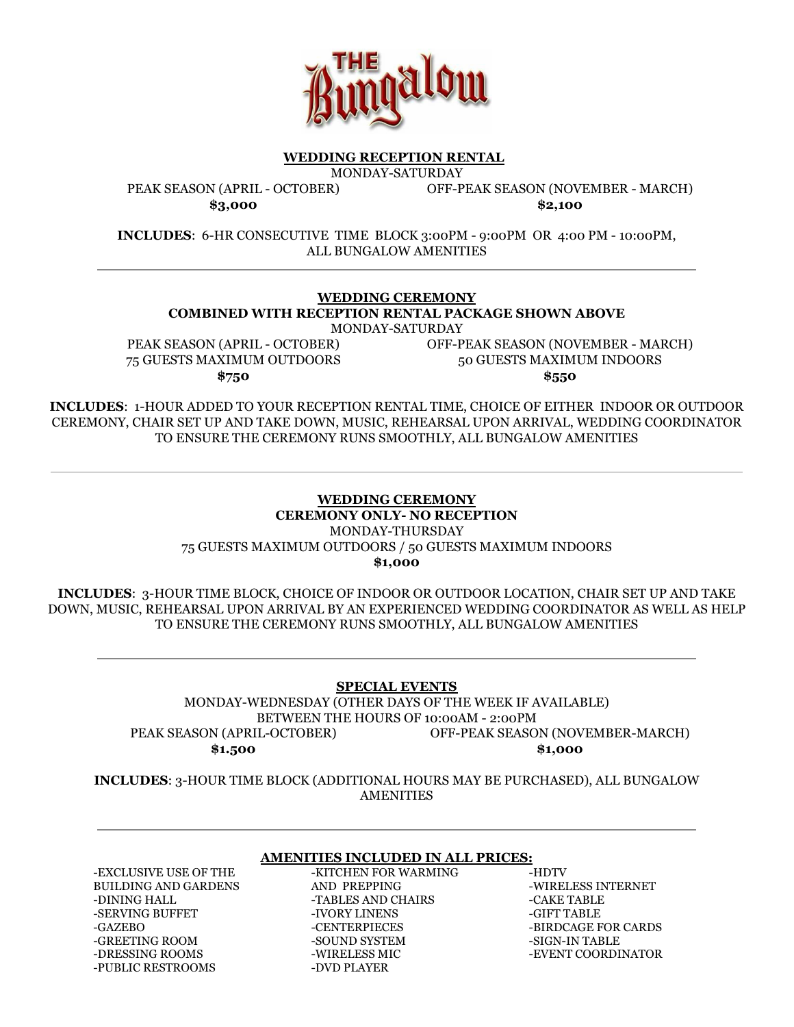

#### **WEDDING RECEPTION RENTAL**

MONDAY-SATURDAY

OFF-PEAK SEASON (NOVEMBER - MARCH)

PEAK SEASON (APRIL - OCTOBER) **\$3,000**

**\$2,100**

**INCLUDES:** 6-HR CONSECUTIVE TIME BLOCK 3:00PM - 9:00PM OR 4:00 PM - 10:00PM, ALL BUNGALOW AMENITIES

**WEDDING CEREMONY COMBINED WITH RECEPTION RENTAL PACKAGE SHOWN ABOVE**

MONDAY-SATURDAY

PEAK SEASON (APRIL - OCTOBER) 75 GUESTS MAXIMUM OUTDOORS **\$750**

OFF-PEAK SEASON (NOVEMBER - MARCH) 50 GUESTS MAXIMUM INDOORS **\$550**

**INCLUDES**: 1-HOUR ADDED TO YOUR RECEPTION RENTAL TIME, CHOICE OF EITHER INDOOR OR OUTDOOR CEREMONY, CHAIR SET UP AND TAKE DOWN, MUSIC, REHEARSAL UPON ARRIVAL, WEDDING COORDINATOR TO ENSURE THE CEREMONY RUNS SMOOTHLY, ALL BUNGALOW AMENITIES

## **WEDDING CEREMONY CEREMONY ONLY- NO RECEPTION** MONDAY-THURSDAY 75 GUESTS MAXIMUM OUTDOORS / 50 GUESTS MAXIMUM INDOORS **\$1,000**

**INCLUDES**: 3-HOUR TIME BLOCK, CHOICE OF INDOOR OR OUTDOOR LOCATION, CHAIR SET UP AND TAKE DOWN, MUSIC, REHEARSAL UPON ARRIVAL BY AN EXPERIENCED WEDDING COORDINATOR AS WELL AS HELP TO ENSURE THE CEREMONY RUNS SMOOTHLY, ALL BUNGALOW AMENITIES

# **SPECIAL EVENTS**

MONDAY-WEDNESDAY (OTHER DAYS OF THE WEEK IF AVAILABLE) BETWEEN THE HOURS OF 10:00AM - 2:00PM PEAK SEASON (APRIL-OCTOBER) **\$1.500** OFF-PEAK SEASON (NOVEMBER-MARCH) **\$1,000**

**INCLUDES**: 3-HOUR TIME BLOCK (ADDITIONAL HOURS MAY BE PURCHASED), ALL BUNGALOW **AMENITIES** 

#### **AMENITIES INCLUDED IN ALL PRICES:**

-EXCLUSIVE USE OF THE BUILDING AND GARDENS -DINING HALL -SERVING BUFFET -GAZEBO -GREETING ROOM -DRESSING ROOMS -PUBLIC RESTROOMS

-KITCHEN FOR WARMING AND PREPPING -TABLES AND CHAIRS -IVORY LINENS -CENTERPIECES -SOUND SYSTEM -WIRELESS MIC -DVD PLAYER

-HDTV -WIRELESS INTERNET -CAKE TABLE -GIFT TABLE -BIRDCAGE FOR CARDS -SIGN-IN TABLE -EVENT COORDINATOR